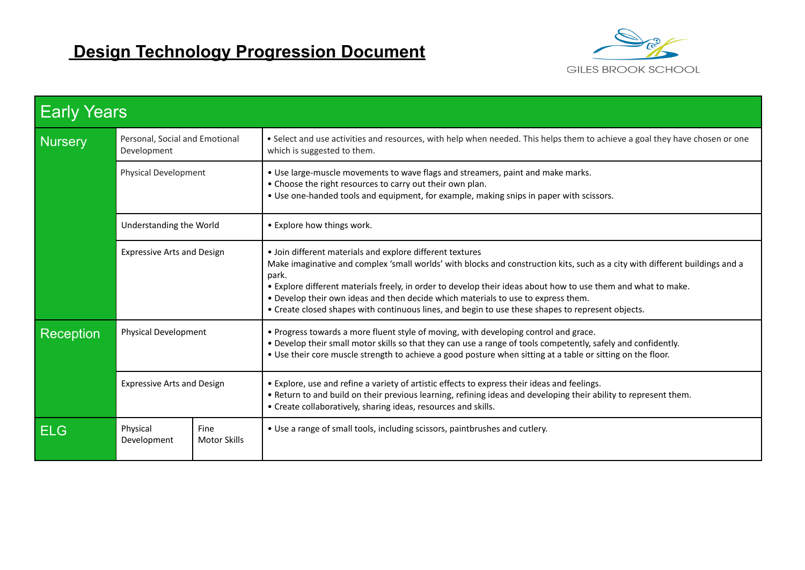

| <b>Early Years</b> |                                               |                             |                                                                                                                                                                                                                                                                                                                                                                                                                                                                                                               |  |  |
|--------------------|-----------------------------------------------|-----------------------------|---------------------------------------------------------------------------------------------------------------------------------------------------------------------------------------------------------------------------------------------------------------------------------------------------------------------------------------------------------------------------------------------------------------------------------------------------------------------------------------------------------------|--|--|
| <b>Nursery</b>     | Personal, Social and Emotional<br>Development |                             | . Select and use activities and resources, with help when needed. This helps them to achieve a goal they have chosen or one<br>which is suggested to them.                                                                                                                                                                                                                                                                                                                                                    |  |  |
|                    | Physical Development                          |                             | . Use large-muscle movements to wave flags and streamers, paint and make marks.<br>• Choose the right resources to carry out their own plan.<br>• Use one-handed tools and equipment, for example, making snips in paper with scissors.                                                                                                                                                                                                                                                                       |  |  |
|                    | Understanding the World                       |                             | • Explore how things work.                                                                                                                                                                                                                                                                                                                                                                                                                                                                                    |  |  |
|                    | <b>Expressive Arts and Design</b>             |                             | • Join different materials and explore different textures<br>Make imaginative and complex 'small worlds' with blocks and construction kits, such as a city with different buildings and a<br>park.<br>. Explore different materials freely, in order to develop their ideas about how to use them and what to make.<br>. Develop their own ideas and then decide which materials to use to express them.<br>• Create closed shapes with continuous lines, and begin to use these shapes to represent objects. |  |  |
| <b>Reception</b>   | <b>Physical Development</b>                   |                             | . Progress towards a more fluent style of moving, with developing control and grace.<br>. Develop their small motor skills so that they can use a range of tools competently, safely and confidently.<br>. Use their core muscle strength to achieve a good posture when sitting at a table or sitting on the floor.                                                                                                                                                                                          |  |  |
|                    | <b>Expressive Arts and Design</b>             |                             | • Explore, use and refine a variety of artistic effects to express their ideas and feelings.<br>. Return to and build on their previous learning, refining ideas and developing their ability to represent them.<br>• Create collaboratively, sharing ideas, resources and skills.                                                                                                                                                                                                                            |  |  |
| <b>ELG</b>         | Physical<br>Development                       | Fine<br><b>Motor Skills</b> | • Use a range of small tools, including scissors, paintbrushes and cutlery.                                                                                                                                                                                                                                                                                                                                                                                                                                   |  |  |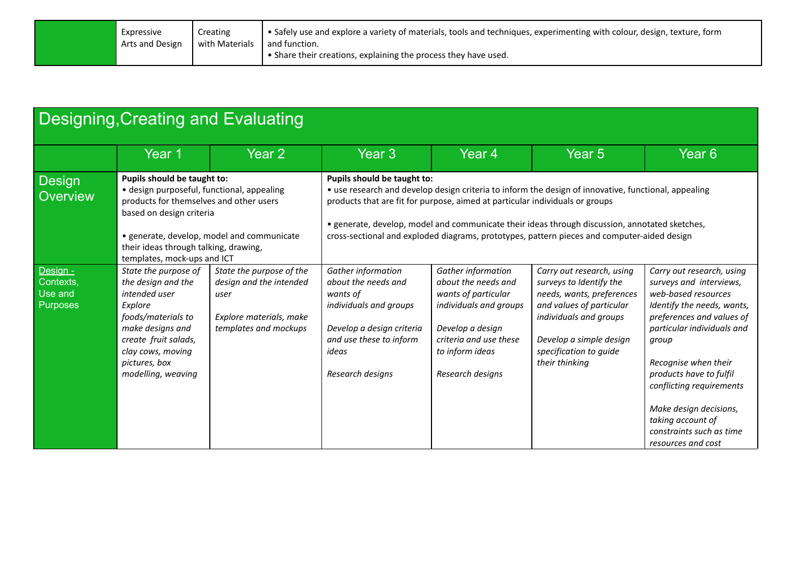| Expressive      | Creating       | $\cdot$ • Safely use and explore a variety of materials, tools and techniques, experimenting with colour, design, texture, form |
|-----------------|----------------|---------------------------------------------------------------------------------------------------------------------------------|
| Arts and Design | with Materials | and function.                                                                                                                   |
|                 |                |                                                                                                                                 |

| <b>Designing, Creating and Evaluating</b>    |                                                                                                                                                                                                      |                                                                                                                 |                                                                                                                                                                                                                                                                                                                       |                                                                                                                                                                                 |                                                                                                                                                                                                                |                                                                                                                                                                                                                                                                                        |  |
|----------------------------------------------|------------------------------------------------------------------------------------------------------------------------------------------------------------------------------------------------------|-----------------------------------------------------------------------------------------------------------------|-----------------------------------------------------------------------------------------------------------------------------------------------------------------------------------------------------------------------------------------------------------------------------------------------------------------------|---------------------------------------------------------------------------------------------------------------------------------------------------------------------------------|----------------------------------------------------------------------------------------------------------------------------------------------------------------------------------------------------------------|----------------------------------------------------------------------------------------------------------------------------------------------------------------------------------------------------------------------------------------------------------------------------------------|--|
|                                              | Year 1                                                                                                                                                                                               | Year 2                                                                                                          | Year <sub>3</sub>                                                                                                                                                                                                                                                                                                     | Year 4                                                                                                                                                                          | Year <sub>5</sub>                                                                                                                                                                                              | Year <sub>6</sub>                                                                                                                                                                                                                                                                      |  |
| Design<br>Overview                           | Pupils should be taught to:<br>· design purposeful, functional, appealing<br>products for themselves and other users<br>based on design criteria                                                     |                                                                                                                 | Pupils should be taught to:<br>• use research and develop design criteria to inform the design of innovative, functional, appealing<br>products that are fit for purpose, aimed at particular individuals or groups<br>• generate, develop, model and communicate their ideas through discussion, annotated sketches, |                                                                                                                                                                                 |                                                                                                                                                                                                                |                                                                                                                                                                                                                                                                                        |  |
|                                              | their ideas through talking, drawing,<br>templates, mock-ups and ICT                                                                                                                                 | • generate, develop, model and communicate                                                                      | cross-sectional and exploded diagrams, prototypes, pattern pieces and computer-aided design                                                                                                                                                                                                                           |                                                                                                                                                                                 |                                                                                                                                                                                                                |                                                                                                                                                                                                                                                                                        |  |
| Design -<br>Contexts,<br>Use and<br>Purposes | State the purpose of<br>the design and the<br>intended user<br>Explore<br>foods/materials to<br>make designs and<br>create fruit salads,<br>clay cows, moving<br>pictures, box<br>modelling, weaving | State the purpose of the<br>design and the intended<br>user<br>Explore materials, make<br>templates and mockups | Gather information<br>about the needs and<br>wants of<br>individuals and groups<br>Develop a design criteria<br>and use these to inform<br>ideas<br>Research designs                                                                                                                                                  | Gather information<br>about the needs and<br>wants of particular<br>individuals and groups<br>Develop a design<br>criteria and use these<br>to inform ideas<br>Research designs | Carry out research, using<br>surveys to Identify the<br>needs, wants, preferences<br>and values of particular<br>individuals and groups<br>Develop a simple design<br>specification to guide<br>their thinking | Carry out research, using<br>surveys and interviews,<br>web-based resources<br>Identify the needs, wants,<br>preferences and values of<br>particular individuals and<br>group<br>Recognise when their<br>products have to fulfil<br>conflicting requirements<br>Make design decisions, |  |
|                                              |                                                                                                                                                                                                      |                                                                                                                 |                                                                                                                                                                                                                                                                                                                       |                                                                                                                                                                                 |                                                                                                                                                                                                                | taking account of<br>constraints such as time<br>resources and cost                                                                                                                                                                                                                    |  |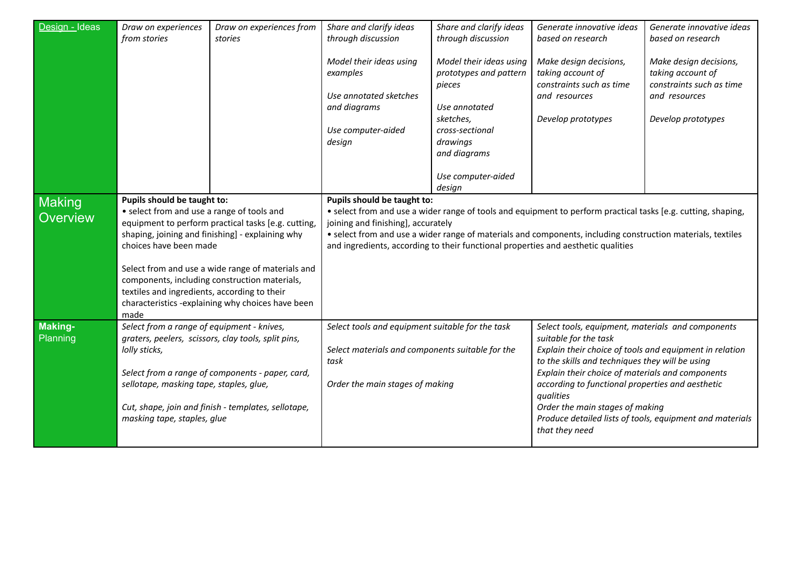| Design - Ideas                   | Draw on experiences                                                                                                                                                                                                                                                                                                                                                                                                              | Draw on experiences from | Share and clarify ideas                                                                                                                                                                                                                                                                                                                                 | Share and clarify ideas                                                                                                                                        | Generate innovative ideas                                                                                                                                                                                                                                                                                                                                                                                                      | Generate innovative ideas                                                                                      |
|----------------------------------|----------------------------------------------------------------------------------------------------------------------------------------------------------------------------------------------------------------------------------------------------------------------------------------------------------------------------------------------------------------------------------------------------------------------------------|--------------------------|---------------------------------------------------------------------------------------------------------------------------------------------------------------------------------------------------------------------------------------------------------------------------------------------------------------------------------------------------------|----------------------------------------------------------------------------------------------------------------------------------------------------------------|--------------------------------------------------------------------------------------------------------------------------------------------------------------------------------------------------------------------------------------------------------------------------------------------------------------------------------------------------------------------------------------------------------------------------------|----------------------------------------------------------------------------------------------------------------|
|                                  | from stories                                                                                                                                                                                                                                                                                                                                                                                                                     | stories                  | through discussion                                                                                                                                                                                                                                                                                                                                      | through discussion                                                                                                                                             | based on research                                                                                                                                                                                                                                                                                                                                                                                                              | based on research                                                                                              |
|                                  |                                                                                                                                                                                                                                                                                                                                                                                                                                  |                          | Model their ideas using<br>examples<br>Use annotated sketches<br>and diagrams<br>Use computer-aided<br>design                                                                                                                                                                                                                                           | Model their ideas using<br>prototypes and pattern<br>pieces<br>Use annotated<br>sketches,<br>cross-sectional<br>drawings<br>and diagrams<br>Use computer-aided | Make design decisions,<br>taking account of<br>constraints such as time<br>and resources<br>Develop prototypes                                                                                                                                                                                                                                                                                                                 | Make design decisions,<br>taking account of<br>constraints such as time<br>and resources<br>Develop prototypes |
|                                  |                                                                                                                                                                                                                                                                                                                                                                                                                                  |                          | Pupils should be taught to:                                                                                                                                                                                                                                                                                                                             | design                                                                                                                                                         |                                                                                                                                                                                                                                                                                                                                                                                                                                |                                                                                                                |
| <b>Making</b><br><b>Overview</b> | Pupils should be taught to:<br>• select from and use a range of tools and<br>equipment to perform practical tasks [e.g. cutting<br>shaping, joining and finishing] - explaining why<br>choices have been made<br>Select from and use a wide range of materials and<br>components, including construction materials,<br>textiles and ingredients, according to their<br>characteristics -explaining why choices have been<br>made |                          | • select from and use a wider range of tools and equipment to perform practical tasks [e.g. cutting, shaping,<br>joining and finishing], accurately<br>• select from and use a wider range of materials and components, including construction materials, textiles<br>and ingredients, according to their functional properties and aesthetic qualities |                                                                                                                                                                |                                                                                                                                                                                                                                                                                                                                                                                                                                |                                                                                                                |
| <b>Making-</b><br>Planning       | Select from a range of equipment - knives,<br>graters, peelers, scissors, clay tools, split pins,<br>lolly sticks,<br>Select from a range of components - paper, card,<br>sellotape, masking tape, staples, glue,<br>Cut, shape, join and finish - templates, sellotape,<br>masking tape, staples, glue                                                                                                                          |                          | Select tools and equipment suitable for the task<br>Select materials and components suitable for the<br>task<br>Order the main stages of making                                                                                                                                                                                                         |                                                                                                                                                                | Select tools, equipment, materials and components<br>suitable for the task<br>Explain their choice of tools and equipment in relation<br>to the skills and techniques they will be using<br>Explain their choice of materials and components<br>according to functional properties and aesthetic<br>qualities<br>Order the main stages of making<br>Produce detailed lists of tools, equipment and materials<br>that they need |                                                                                                                |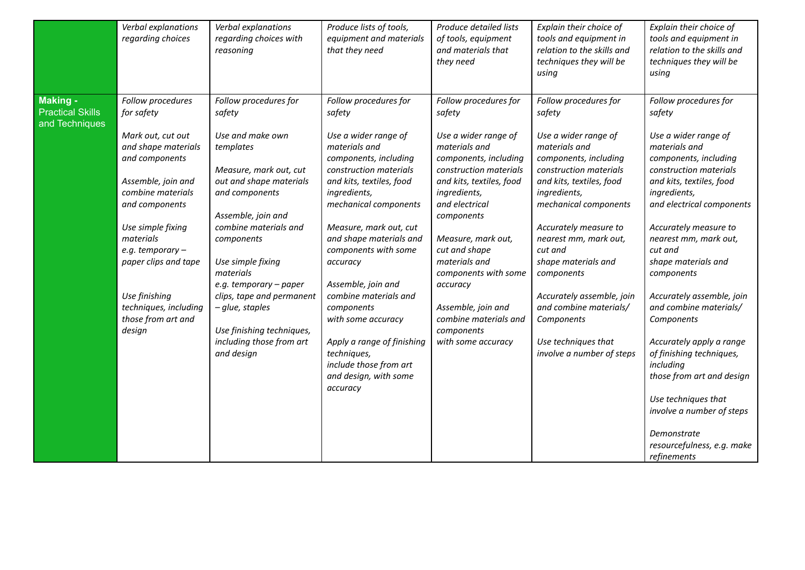|                                     | Verbal explanations<br>regarding choices                                                                                                                                                                                                                                        | Verbal explanations<br>regarding choices with<br>reasoning                                                                                                                                                                                                                                                                                           | Produce lists of tools,<br>equipment and materials<br>that they need                                                                                                                                                                                                                                                                                                                                                                                  | Produce detailed lists<br>of tools, equipment<br>and materials that<br>they need                                                                                                                                                                                                                                                                    | Explain their choice of<br>tools and equipment in<br>relation to the skills and<br>techniques they will be<br>using                                                                                                                                                                                                                                                                      | Explain their choice of<br>tools and equipment in<br>relation to the skills and<br>techniques they will be<br>using                                                                                                                                                                                                                                                                                                                                                                                           |
|-------------------------------------|---------------------------------------------------------------------------------------------------------------------------------------------------------------------------------------------------------------------------------------------------------------------------------|------------------------------------------------------------------------------------------------------------------------------------------------------------------------------------------------------------------------------------------------------------------------------------------------------------------------------------------------------|-------------------------------------------------------------------------------------------------------------------------------------------------------------------------------------------------------------------------------------------------------------------------------------------------------------------------------------------------------------------------------------------------------------------------------------------------------|-----------------------------------------------------------------------------------------------------------------------------------------------------------------------------------------------------------------------------------------------------------------------------------------------------------------------------------------------------|------------------------------------------------------------------------------------------------------------------------------------------------------------------------------------------------------------------------------------------------------------------------------------------------------------------------------------------------------------------------------------------|---------------------------------------------------------------------------------------------------------------------------------------------------------------------------------------------------------------------------------------------------------------------------------------------------------------------------------------------------------------------------------------------------------------------------------------------------------------------------------------------------------------|
| Making -<br><b>Practical Skills</b> | Follow procedures<br>for safety                                                                                                                                                                                                                                                 | Follow procedures for<br>safety                                                                                                                                                                                                                                                                                                                      | Follow procedures for<br>safety                                                                                                                                                                                                                                                                                                                                                                                                                       | Follow procedures for<br>safety                                                                                                                                                                                                                                                                                                                     | Follow procedures for<br>safety                                                                                                                                                                                                                                                                                                                                                          | Follow procedures for<br>safety                                                                                                                                                                                                                                                                                                                                                                                                                                                                               |
| and Techniques                      | Mark out, cut out<br>and shape materials<br>and components<br>Assemble, join and<br>combine materials<br>and components<br>Use simple fixing<br>materials<br>e.g. temporary -<br>paper clips and tape<br>Use finishing<br>techniques, including<br>those from art and<br>design | Use and make own<br>templates<br>Measure, mark out, cut<br>out and shape materials<br>and components<br>Assemble, join and<br>combine materials and<br>components<br>Use simple fixing<br>materials<br>e.g. temporary - paper<br>clips, tape and permanent<br>- glue, staples<br>Use finishing techniques,<br>including those from art<br>and design | Use a wider range of<br>materials and<br>components, including<br>construction materials<br>and kits, textiles, food<br>ingredients,<br>mechanical components<br>Measure, mark out, cut<br>and shape materials and<br>components with some<br>accuracy<br>Assemble, join and<br>combine materials and<br>components<br>with some accuracy<br>Apply a range of finishing<br>techniques,<br>include those from art<br>and design, with some<br>accuracy | Use a wider range of<br>materials and<br>components, including<br>construction materials<br>and kits, textiles, food<br>ingredients,<br>and electrical<br>components<br>Measure, mark out,<br>cut and shape<br>materials and<br>components with some<br>accuracy<br>Assemble, join and<br>combine materials and<br>components<br>with some accuracy | Use a wider range of<br>materials and<br>components, including<br>construction materials<br>and kits, textiles, food<br>ingredients,<br>mechanical components<br>Accurately measure to<br>nearest mm, mark out,<br>cut and<br>shape materials and<br>components<br>Accurately assemble, join<br>and combine materials/<br>Components<br>Use techniques that<br>involve a number of steps | Use a wider range of<br>materials and<br>components, including<br>construction materials<br>and kits, textiles, food<br>ingredients,<br>and electrical components<br>Accurately measure to<br>nearest mm, mark out,<br>cut and<br>shape materials and<br>components<br>Accurately assemble, join<br>and combine materials/<br>Components<br>Accurately apply a range<br>of finishing techniques,<br>including<br>those from art and design<br>Use techniques that<br>involve a number of steps<br>Demonstrate |
|                                     |                                                                                                                                                                                                                                                                                 |                                                                                                                                                                                                                                                                                                                                                      |                                                                                                                                                                                                                                                                                                                                                                                                                                                       |                                                                                                                                                                                                                                                                                                                                                     |                                                                                                                                                                                                                                                                                                                                                                                          | resourcefulness, e.g. make<br>refinements                                                                                                                                                                                                                                                                                                                                                                                                                                                                     |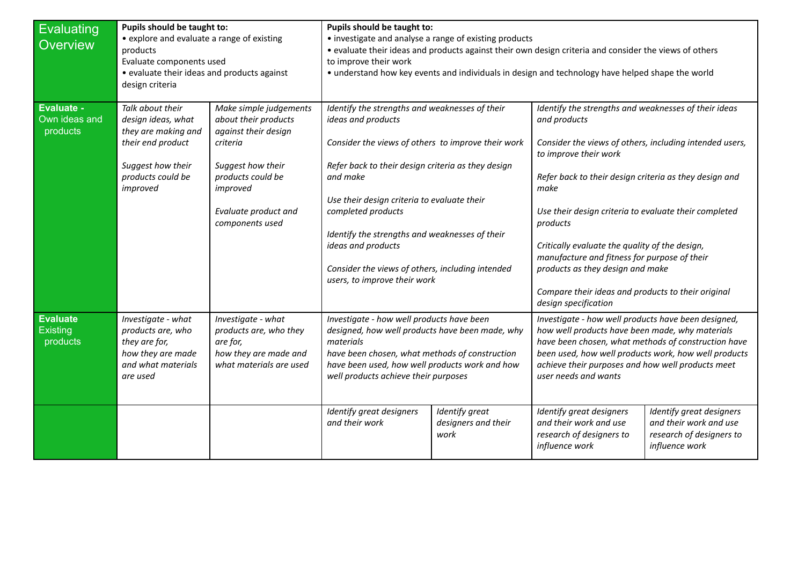| <b>Evaluating</b><br>Overview                  | Pupils should be taught to:<br>• explore and evaluate a range of existing<br>products<br>Evaluate components used<br>• evaluate their ideas and products against<br>design criteria |                                                                                                                                                                                     | Pupils should be taught to:<br>• investigate and analyse a range of existing products<br>• evaluate their ideas and products against their own design criteria and consider the views of others<br>to improve their work<br>• understand how key events and individuals in design and technology have helped shape the world                                                                                                  |                                               |                                                                                                                                                                                                                                                                                                                                                                                                                                                                                                                     |                                                                                                  |
|------------------------------------------------|-------------------------------------------------------------------------------------------------------------------------------------------------------------------------------------|-------------------------------------------------------------------------------------------------------------------------------------------------------------------------------------|-------------------------------------------------------------------------------------------------------------------------------------------------------------------------------------------------------------------------------------------------------------------------------------------------------------------------------------------------------------------------------------------------------------------------------|-----------------------------------------------|---------------------------------------------------------------------------------------------------------------------------------------------------------------------------------------------------------------------------------------------------------------------------------------------------------------------------------------------------------------------------------------------------------------------------------------------------------------------------------------------------------------------|--------------------------------------------------------------------------------------------------|
| Evaluate -<br>Own ideas and<br>products        | Talk about their<br>design ideas, what<br>they are making and<br>their end product<br>Suggest how their<br>products could be<br>improved                                            | Make simple judgements<br>about their products<br>against their design<br>criteria<br>Suggest how their<br>products could be<br>improved<br>Evaluate product and<br>components used | Identify the strengths and weaknesses of their<br>ideas and products<br>Consider the views of others to improve their work<br>Refer back to their design criteria as they design<br>and make<br>Use their design criteria to evaluate their<br>completed products<br>Identify the strengths and weaknesses of their<br>ideas and products<br>Consider the views of others, including intended<br>users, to improve their work |                                               | Identify the strengths and weaknesses of their ideas<br>and products<br>Consider the views of others, including intended users,<br>to improve their work<br>Refer back to their design criteria as they design and<br>make<br>Use their design criteria to evaluate their completed<br>products<br>Critically evaluate the quality of the design,<br>manufacture and fitness for purpose of their<br>products as they design and make<br>Compare their ideas and products to their original<br>design specification |                                                                                                  |
| <b>Evaluate</b><br><b>Existing</b><br>products | Investigate - what<br>products are, who<br>they are for,<br>how they are made<br>and what materials<br>are used                                                                     | Investigate - what<br>products are, who they<br>are for,<br>how they are made and<br>what materials are used                                                                        | Investigate - how well products have been<br>designed, how well products have been made, why<br>materials<br>have been chosen, what methods of construction<br>have been used, how well products work and how<br>well products achieve their purposes                                                                                                                                                                         |                                               | Investigate - how well products have been designed,<br>how well products have been made, why materials<br>have been chosen, what methods of construction have<br>been used, how well products work, how well products<br>achieve their purposes and how well products meet<br>user needs and wants                                                                                                                                                                                                                  |                                                                                                  |
|                                                |                                                                                                                                                                                     |                                                                                                                                                                                     | Identify great designers<br>and their work                                                                                                                                                                                                                                                                                                                                                                                    | Identify great<br>designers and their<br>work | Identify great designers<br>and their work and use<br>research of designers to<br>influence work                                                                                                                                                                                                                                                                                                                                                                                                                    | Identify great designers<br>and their work and use<br>research of designers to<br>influence work |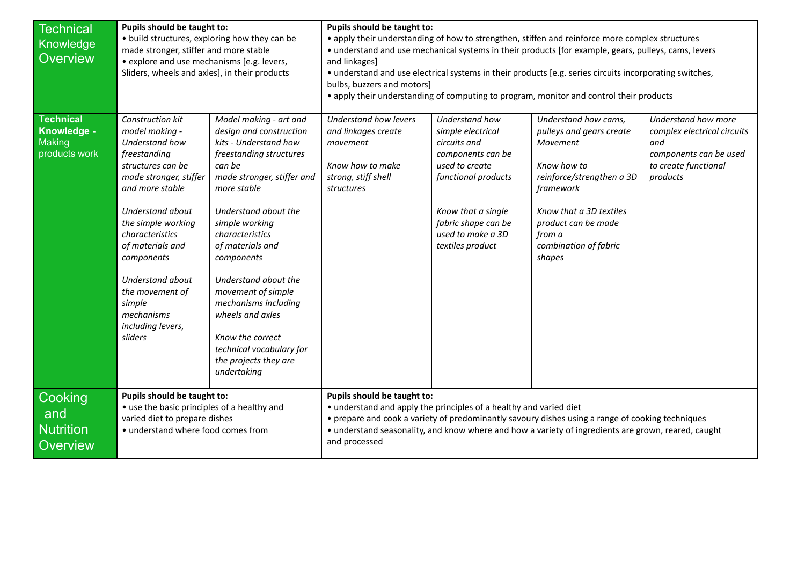| Technical        | Pupils should be taught to:                   |                            | Pupils should be taught to:                                                                          |                     |                                                                                                         |                             |  |
|------------------|-----------------------------------------------|----------------------------|------------------------------------------------------------------------------------------------------|---------------------|---------------------------------------------------------------------------------------------------------|-----------------------------|--|
| Knowledge        | • build structures, exploring how they can be |                            | • apply their understanding of how to strengthen, stiffen and reinforce more complex structures      |                     |                                                                                                         |                             |  |
|                  | made stronger, stiffer and more stable        |                            | · understand and use mechanical systems in their products [for example, gears, pulleys, cams, levers |                     |                                                                                                         |                             |  |
| Overview         | • explore and use mechanisms [e.g. levers,    |                            | and linkages]                                                                                        |                     |                                                                                                         |                             |  |
|                  | Sliders, wheels and axles], in their products |                            |                                                                                                      |                     | • understand and use electrical systems in their products [e.g. series circuits incorporating switches, |                             |  |
|                  |                                               |                            | bulbs, buzzers and motors]                                                                           |                     |                                                                                                         |                             |  |
|                  |                                               |                            |                                                                                                      |                     | • apply their understanding of computing to program, monitor and control their products                 |                             |  |
|                  |                                               |                            |                                                                                                      |                     |                                                                                                         |                             |  |
| <b>Technical</b> | Construction kit                              | Model making - art and     | Understand how levers                                                                                | Understand how      | Understand how cams,                                                                                    | Understand how more         |  |
| Knowledge -      | model making -                                | design and construction    | and linkages create                                                                                  | simple electrical   | pulleys and gears create                                                                                | complex electrical circuits |  |
| Making           | Understand how                                | kits - Understand how      | movement                                                                                             | circuits and        | Movement                                                                                                | and                         |  |
| products work    | freestanding                                  | freestanding structures    |                                                                                                      | components can be   |                                                                                                         | components can be used      |  |
|                  | structures can be                             | can be                     | Know how to make                                                                                     | used to create      | Know how to                                                                                             | to create functional        |  |
|                  | made stronger, stiffer                        | made stronger, stiffer and | strong, stiff shell                                                                                  | functional products | reinforce/strengthen a 3D                                                                               | products                    |  |
|                  | and more stable                               | more stable                | structures                                                                                           |                     | framework                                                                                               |                             |  |
|                  |                                               |                            |                                                                                                      |                     |                                                                                                         |                             |  |
|                  | Understand about                              | Understand about the       |                                                                                                      | Know that a single  | Know that a 3D textiles                                                                                 |                             |  |
|                  | the simple working                            | simple working             |                                                                                                      | fabric shape can be | product can be made                                                                                     |                             |  |
|                  | characteristics                               | characteristics            |                                                                                                      | used to make a 3D   | from a                                                                                                  |                             |  |
|                  | of materials and                              | of materials and           |                                                                                                      | textiles product    | combination of fabric                                                                                   |                             |  |
|                  | components                                    | components                 |                                                                                                      |                     | shapes                                                                                                  |                             |  |
|                  | <b>Understand about</b>                       | Understand about the       |                                                                                                      |                     |                                                                                                         |                             |  |
|                  | the movement of                               | movement of simple         |                                                                                                      |                     |                                                                                                         |                             |  |
|                  | simple                                        | mechanisms including       |                                                                                                      |                     |                                                                                                         |                             |  |
|                  | mechanisms                                    | wheels and axles           |                                                                                                      |                     |                                                                                                         |                             |  |
|                  | including levers,                             |                            |                                                                                                      |                     |                                                                                                         |                             |  |
|                  | sliders                                       | Know the correct           |                                                                                                      |                     |                                                                                                         |                             |  |
|                  |                                               | technical vocabulary for   |                                                                                                      |                     |                                                                                                         |                             |  |
|                  |                                               | the projects they are      |                                                                                                      |                     |                                                                                                         |                             |  |
|                  |                                               | undertaking                |                                                                                                      |                     |                                                                                                         |                             |  |
|                  |                                               |                            |                                                                                                      |                     |                                                                                                         |                             |  |
| <b>Cooking</b>   | Pupils should be taught to:                   |                            | Pupils should be taught to:                                                                          |                     |                                                                                                         |                             |  |
|                  | • use the basic principles of a healthy and   |                            | • understand and apply the principles of a healthy and varied diet                                   |                     |                                                                                                         |                             |  |
| and              | varied diet to prepare dishes                 |                            |                                                                                                      |                     | • prepare and cook a variety of predominantly savoury dishes using a range of cooking techniques        |                             |  |
| Nutrition        | • understand where food comes from            |                            |                                                                                                      |                     | • understand seasonality, and know where and how a variety of ingredients are grown, reared, caught     |                             |  |
| <b>Overview</b>  |                                               |                            | and processed                                                                                        |                     |                                                                                                         |                             |  |
|                  |                                               |                            |                                                                                                      |                     |                                                                                                         |                             |  |